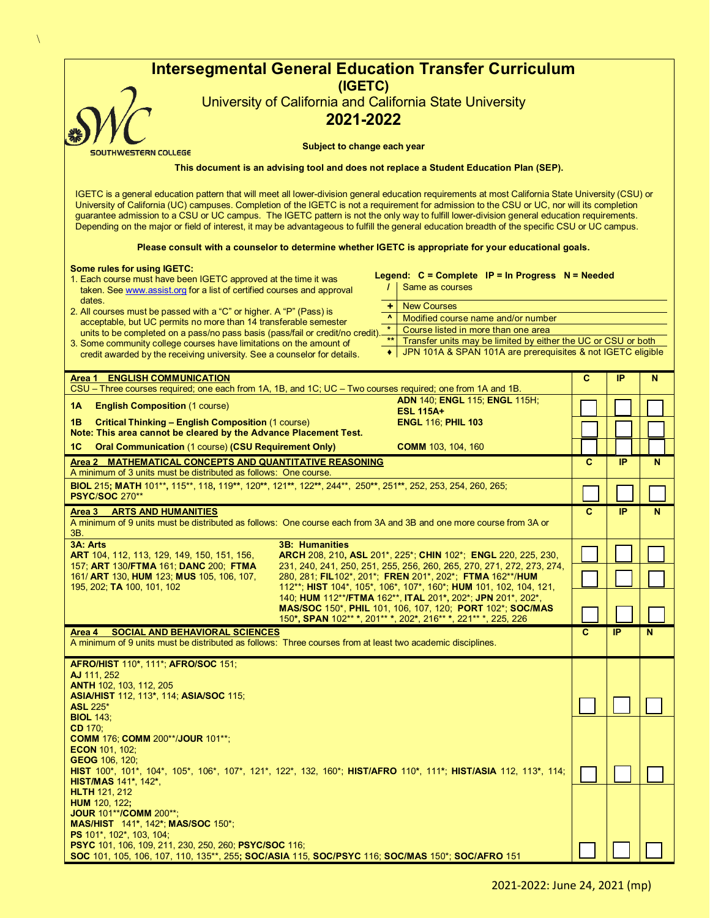|                                                                                                                                                                                                                                                                                                                                                                                                                                                                                                                                                                                                    | (IGETC)               | <b>Intersegmental General Education Transfer Curriculum</b>                                                                       |              |                 |   |
|----------------------------------------------------------------------------------------------------------------------------------------------------------------------------------------------------------------------------------------------------------------------------------------------------------------------------------------------------------------------------------------------------------------------------------------------------------------------------------------------------------------------------------------------------------------------------------------------------|-----------------------|-----------------------------------------------------------------------------------------------------------------------------------|--------------|-----------------|---|
|                                                                                                                                                                                                                                                                                                                                                                                                                                                                                                                                                                                                    |                       | University of California and California State University                                                                          |              |                 |   |
|                                                                                                                                                                                                                                                                                                                                                                                                                                                                                                                                                                                                    | 2021-2022             |                                                                                                                                   |              |                 |   |
| Subject to change each year<br>SOUTHWESTERN COLLEGE                                                                                                                                                                                                                                                                                                                                                                                                                                                                                                                                                |                       |                                                                                                                                   |              |                 |   |
| This document is an advising tool and does not replace a Student Education Plan (SEP).                                                                                                                                                                                                                                                                                                                                                                                                                                                                                                             |                       |                                                                                                                                   |              |                 |   |
| IGETC is a general education pattern that will meet all lower-division general education requirements at most California State University (CSU) or<br>University of California (UC) campuses. Completion of the IGETC is not a requirement for admission to the CSU or UC, nor will its completion<br>guarantee admission to a CSU or UC campus. The IGETC pattern is not the only way to fulfill lower-division general education requirements.<br>Depending on the major or field of interest, it may be advantageous to fulfill the general education breadth of the specific CSU or UC campus. |                       |                                                                                                                                   |              |                 |   |
|                                                                                                                                                                                                                                                                                                                                                                                                                                                                                                                                                                                                    |                       | Please consult with a counselor to determine whether IGETC is appropriate for your educational goals.                             |              |                 |   |
| <b>Some rules for using IGETC:</b><br>1. Each course must have been IGETC approved at the time it was<br>taken. See www.assist.org for a list of certified courses and approval                                                                                                                                                                                                                                                                                                                                                                                                                    |                       | Legend: $C = Complete$ IP = In Progress $N = N$ Needed<br>Same as courses                                                         |              |                 |   |
| dates.<br>2. All courses must be passed with a "C" or higher. A "P" (Pass) is                                                                                                                                                                                                                                                                                                                                                                                                                                                                                                                      |                       | <b>New Courses</b><br>÷                                                                                                           |              |                 |   |
| acceptable, but UC permits no more than 14 transferable semester                                                                                                                                                                                                                                                                                                                                                                                                                                                                                                                                   |                       | $\mathbf{A}$<br>Modified course name and/or number<br>$\star$<br>Course listed in more than one area                              |              |                 |   |
| units to be completed on a pass/no pass basis (pass/fail or credit/no credit).<br>3. Some community college courses have limitations on the amount of                                                                                                                                                                                                                                                                                                                                                                                                                                              |                       | $\star\star$<br>Transfer units may be limited by either the UC or CSU or both                                                     |              |                 |   |
| credit awarded by the receiving university. See a counselor for details.                                                                                                                                                                                                                                                                                                                                                                                                                                                                                                                           |                       | JPN 101A & SPAN 101A are prerequisites & not IGETC eligible                                                                       |              |                 |   |
| <b>ENGLISH COMMUNICATION</b><br>Area 1<br>CSU - Three courses required; one each from 1A, 1B, and 1C; UC - Two courses required; one from 1A and 1B.                                                                                                                                                                                                                                                                                                                                                                                                                                               |                       |                                                                                                                                   | C            | IP              | N |
| 1A<br><b>English Composition (1 course)</b>                                                                                                                                                                                                                                                                                                                                                                                                                                                                                                                                                        |                       | <b>ADN 140; ENGL 115; ENGL 115H;</b><br><b>ESL 115A+</b>                                                                          |              |                 |   |
| <b>Critical Thinking - English Composition (1 course)</b><br>1В                                                                                                                                                                                                                                                                                                                                                                                                                                                                                                                                    |                       | <b>ENGL 116; PHIL 103</b>                                                                                                         |              |                 |   |
| Note: This area cannot be cleared by the Advance Placement Test.                                                                                                                                                                                                                                                                                                                                                                                                                                                                                                                                   |                       |                                                                                                                                   |              |                 |   |
| <b>Oral Communication (1 course) (CSU Requirement Only)</b><br>1C<br>Area 2 MATHEMATICAL CONCEPTS AND QUANTITATIVE REASONING                                                                                                                                                                                                                                                                                                                                                                                                                                                                       |                       | <b>COMM</b> 103, 104, 160                                                                                                         | C            | IP              | N |
| A minimum of 3 units must be distributed as follows: One course.                                                                                                                                                                                                                                                                                                                                                                                                                                                                                                                                   |                       |                                                                                                                                   |              |                 |   |
| BIOL 215; MATH 101**, 115**, 118, 119**, 120**, 121**, 122**, 244**, 250**, 251**, 252, 253, 254, 260, 265;<br><b>PSYC/SOC 270**</b>                                                                                                                                                                                                                                                                                                                                                                                                                                                               |                       |                                                                                                                                   |              |                 |   |
| Area 3 ARTS AND HUMANITIES<br>A minimum of 9 units must be distributed as follows: One course each from 3A and 3B and one more course from 3A or<br>ЗΒ.                                                                                                                                                                                                                                                                                                                                                                                                                                            |                       |                                                                                                                                   | $\mathbf{C}$ | IP              | N |
| 3A: Arts<br>ART 104, 112, 113, 129, 149, 150, 151, 156,                                                                                                                                                                                                                                                                                                                                                                                                                                                                                                                                            | <b>3B: Humanities</b> | <b>ARCH 208, 210, ASL 201*, 225*; CHIN 102*; ENGL 220, 225, 230,</b>                                                              |              |                 |   |
| 157; ART 130/FTMA 161; DANC 200; FTMA<br>161/ ART 130, HUM 123; MUS 105, 106, 107,                                                                                                                                                                                                                                                                                                                                                                                                                                                                                                                 |                       | 231, 240, 241, 250, 251, 255, 256, 260, 265, 270, 271, 272, 273, 274,<br>280, 281; FIL102*, 201*; FREN 201*, 202*; FTMA 162**/HUM |              |                 |   |
| 112**; HIST 104*, 105*, 106*, 107*, 160*; HUM 101, 102, 104, 121,<br>195, 202; TA 100, 101, 102<br>140; HUM 112**/FTMA 162**, ITAL 201*, 202*; JPN 201*, 202*,<br>MAS/SOC 150*, PHIL 101, 106, 107, 120; PORT 102*; SOC/MAS                                                                                                                                                                                                                                                                                                                                                                        |                       |                                                                                                                                   |              |                 |   |
|                                                                                                                                                                                                                                                                                                                                                                                                                                                                                                                                                                                                    |                       | 150*, SPAN 102** *, 201** *, 202*, 216** *, 221** *, 225, 226                                                                     |              |                 |   |
| <b>SOCIAL AND BEHAVIORAL SCIENCES</b><br>Area 4<br>A minimum of 9 units must be distributed as follows: Three courses from at least two academic disciplines.                                                                                                                                                                                                                                                                                                                                                                                                                                      |                       |                                                                                                                                   | $\mathbf{C}$ | $\overline{IP}$ | N |
| AFRO/HIST 110*, 111*; AFRO/SOC 151;<br>AJ 111, 252                                                                                                                                                                                                                                                                                                                                                                                                                                                                                                                                                 |                       |                                                                                                                                   |              |                 |   |
| ANTH 102, 103, 112, 205<br><b>ASIA/HIST 112, 113*, 114; ASIA/SOC 115;</b>                                                                                                                                                                                                                                                                                                                                                                                                                                                                                                                          |                       |                                                                                                                                   |              |                 |   |
| <b>ASL 225*</b><br><b>BIOL 143;</b>                                                                                                                                                                                                                                                                                                                                                                                                                                                                                                                                                                |                       |                                                                                                                                   |              |                 |   |
| CD 170;<br><b>COMM 176; COMM 200**/JOUR 101**;</b>                                                                                                                                                                                                                                                                                                                                                                                                                                                                                                                                                 |                       |                                                                                                                                   |              |                 |   |
| <b>ECON 101, 102;</b><br><b>GEOG</b> 106, 120;                                                                                                                                                                                                                                                                                                                                                                                                                                                                                                                                                     |                       |                                                                                                                                   |              |                 |   |
| HIST 100*, 101*, 104*, 105*, 106*, 107*, 121*, 122*, 132, 160*; HIST/AFRO 110*, 111*; HIST/ASIA 112, 113*, 114;<br><b>HIST/MAS</b> 141*, 142*,                                                                                                                                                                                                                                                                                                                                                                                                                                                     |                       |                                                                                                                                   |              |                 |   |
| <b>HLTH 121, 212</b>                                                                                                                                                                                                                                                                                                                                                                                                                                                                                                                                                                               |                       |                                                                                                                                   |              |                 |   |
| <b>HUM</b> 120, 122;<br><b>JOUR 101**/COMM 200**;</b>                                                                                                                                                                                                                                                                                                                                                                                                                                                                                                                                              |                       |                                                                                                                                   |              |                 |   |
|                                                                                                                                                                                                                                                                                                                                                                                                                                                                                                                                                                                                    |                       |                                                                                                                                   |              |                 |   |
| <b>MAS/HIST</b> 141*, 142*; <b>MAS/SOC</b> 150*;<br><b>PS</b> 101*, 102*, 103, 104;<br>PSYC 101, 106, 109, 211, 230, 250, 260; PSYC/SOC 116;                                                                                                                                                                                                                                                                                                                                                                                                                                                       |                       |                                                                                                                                   |              |                 |   |

 $\bar{\Delta}$